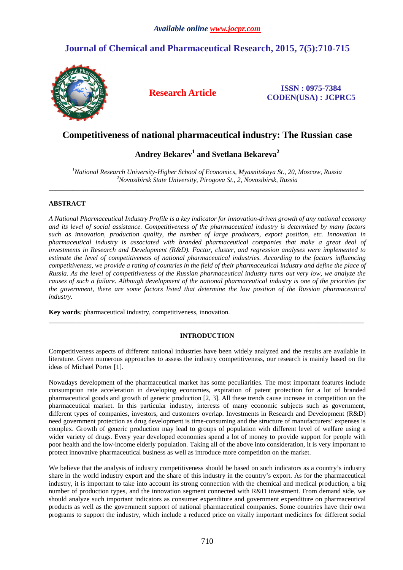# **Journal of Chemical and Pharmaceutical Research, 2015, 7(5):710-715**



**Research Article ISSN : 0975-7384 CODEN(USA) : JCPRC5**

## **Competitiveness of national pharmaceutical industry: The Russian case**

## **Andrey Bekarev<sup>1</sup> and Svetlana Bekareva<sup>2</sup>**

*<sup>1</sup>National Research University-Higher School of Economics, Myasnitskaya St., 20, Moscow, Russia <sup>2</sup>Novosibirsk State University, Pirogova St., 2, Novosibirsk, Russia*  \_\_\_\_\_\_\_\_\_\_\_\_\_\_\_\_\_\_\_\_\_\_\_\_\_\_\_\_\_\_\_\_\_\_\_\_\_\_\_\_\_\_\_\_\_\_\_\_\_\_\_\_\_\_\_\_\_\_\_\_\_\_\_\_\_\_\_\_\_\_\_\_\_\_\_\_\_\_\_\_\_\_\_\_\_\_\_\_\_\_\_\_\_

## **ABSTRACT**

*A National Pharmaceutical Industry Profile is a key indicator for innovation-driven growth of any national economy and its level of social assistance. Competitiveness of the pharmaceutical industry is determined by many factors such as innovation, production quality, the number of large producers, export position, etc. Innovation in pharmaceutical industry is associated with branded pharmaceutical companies that make a great deal of investments in Research and Development (R&D). Factor, cluster, and regression analyses were implemented to estimate the level of competitiveness of national pharmaceutical industries. According to the factors influencing competitiveness, we provide a rating of countries in the field of their pharmaceutical industry and define the place of Russia. As the level of competitiveness of the Russian pharmaceutical industry turns out very low, we analyze the causes of such a failure. Although development of the national pharmaceutical industry is one of the priorities for the government, there are some factors listed that determine the low position of the Russian pharmaceutical industry.* 

**Key words***:* pharmaceutical industry, competitiveness, innovation.

## **INTRODUCTION**

\_\_\_\_\_\_\_\_\_\_\_\_\_\_\_\_\_\_\_\_\_\_\_\_\_\_\_\_\_\_\_\_\_\_\_\_\_\_\_\_\_\_\_\_\_\_\_\_\_\_\_\_\_\_\_\_\_\_\_\_\_\_\_\_\_\_\_\_\_\_\_\_\_\_\_\_\_\_\_\_\_\_\_\_\_\_\_\_\_\_\_\_\_

Competitiveness aspects of different national industries have been widely analyzed and the results are available in literature. Given numerous approaches to assess the industry competitiveness, our research is mainly based on the ideas of Michael Porter [1].

Nowadays development of the pharmaceutical market has some peculiarities. The most important features include consumption rate acceleration in developing economies, expiration of patent protection for a lot of branded pharmaceutical goods and growth of generic production [2, 3]. All these trends cause increase in competition on the pharmaceutical market. In this particular industry, interests of many economic subjects such as government, different types of companies, investors, and customers overlap. Investments in Research and Development (R&D) need government protection as drug development is time-consuming and the structure of manufacturers' expenses is complex. Growth of generic production may lead to groups of population with different level of welfare using a wider variety of drugs. Every year developed economies spend a lot of money to provide support for people with poor health and the low-income elderly population. Taking all of the above into consideration, it is very important to protect innovative pharmaceutical business as well as introduce more competition on the market.

We believe that the analysis of industry competitiveness should be based on such indicators as a country's industry share in the world industry export and the share of this industry in the country's export. As for the pharmaceutical industry, it is important to take into account its strong connection with the chemical and medical production, a big number of production types, and the innovation segment connected with R&D investment. From demand side, we should analyze such important indicators as consumer expenditure and government expenditure on pharmaceutical products as well as the government support of national pharmaceutical companies. Some countries have their own programs to support the industry, which include a reduced price on vitally important medicines for different social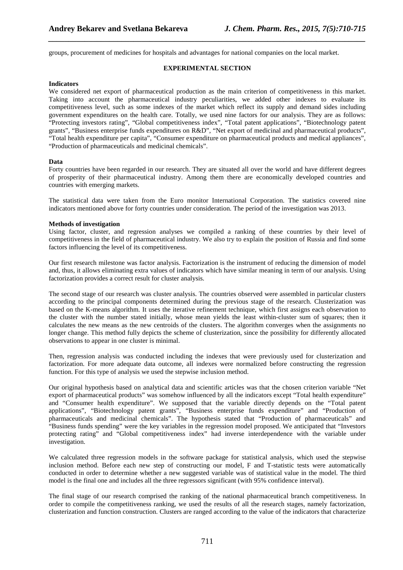groups, procurement of medicines for hospitals and advantages for national companies on the local market.

#### **EXPERIMENTAL SECTION**

*\_\_\_\_\_\_\_\_\_\_\_\_\_\_\_\_\_\_\_\_\_\_\_\_\_\_\_\_\_\_\_\_\_\_\_\_\_\_\_\_\_\_\_\_\_\_\_\_\_\_\_\_\_\_\_\_\_\_\_\_\_\_\_\_\_\_\_\_\_\_\_\_\_\_\_\_\_\_*

#### **Indicators**

We considered net export of pharmaceutical production as the main criterion of competitiveness in this market. Taking into account the pharmaceutical industry peculiarities, we added other indexes to evaluate its competitiveness level, such as some indexes of the market which reflect its supply and demand sides including government expenditures on the health care. Totally, we used nine factors for our analysis. They are as follows: "Protecting investors rating", "Global competitiveness index", "Total patent applications", "Biotechnology patent grants", "Business enterprise funds expenditures on R&D", "Net export of medicinal and pharmaceutical products", "Total health expenditure per capita", "Consumer expenditure on pharmaceutical products and medical appliances", "Production of pharmaceuticals and medicinal chemicals".

#### **Data**

Forty countries have been regarded in our research. They are situated all over the world and have different degrees of prosperity of their pharmaceutical industry. Among them there are economically developed countries and countries with emerging markets.

The statistical data were taken from the Euro monitor International Corporation. The statistics covered nine indicators mentioned above for forty countries under consideration. The period of the investigation was 2013.

#### **Methods of investigation**

Using factor, cluster, and regression analyses we compiled a ranking of these countries by their level of competitiveness in the field of pharmaceutical industry. We also try to explain the position of Russia and find some factors influencing the level of its competitiveness.

Our first research milestone was factor analysis. Factorization is the instrument of reducing the dimension of model and, thus, it allows eliminating extra values of indicators which have similar meaning in term of our analysis. Using factorization provides a correct result for cluster analysis.

The second stage of our research was cluster analysis. The countries observed were assembled in particular clusters according to the principal components determined during the previous stage of the research. Clusterization was based on the K-means algorithm. It uses the iterative refinement technique, which first assigns each observation to the cluster with the number stated initially, whose mean yields the least within-cluster sum of squares; then it calculates the new means as the new centroids of the clusters. The algorithm converges when the assignments no longer change. This method fully depicts the scheme of clusterization, since the possibility for differently allocated observations to appear in one cluster is minimal.

Then, regression analysis was conducted including the indexes that were previously used for clusterization and factorization. For more adequate data outcome, all indexes were normalized before constructing the regression function. For this type of analysis we used the stepwise inclusion method.

Our original hypothesis based on analytical data and scientific articles was that the chosen criterion variable "Net export of pharmaceutical products" was somehow influenced by all the indicators except "Total health expenditure" and "Consumer health expenditure". We supposed that the variable directly depends on the "Total patent applications", "Biotechnology patent grants", "Business enterprise funds expenditure" and "Production of pharmaceuticals and medicinal chemicals". The hypothesis stated that "Production of pharmaceuticals" and "Business funds spending" were the key variables in the regression model proposed. We anticipated that "Investors protecting rating" and "Global competitiveness index" had inverse interdependence with the variable under investigation.

We calculated three regression models in the software package for statistical analysis, which used the stepwise inclusion method. Before each new step of constructing our model, F and T-statistic tests were automatically conducted in order to determine whether a new suggested variable was of statistical value in the model. The third model is the final one and includes all the three regressors significant (with 95% confidence interval).

The final stage of our research comprised the ranking of the national pharmaceutical branch competitiveness. In order to compile the competitiveness ranking, we used the results of all the research stages, namely factorization, clusterization and function construction. Clusters are ranged according to the value of the indicators that characterize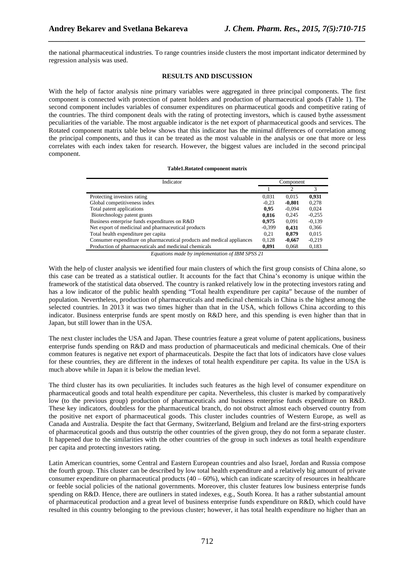the national pharmaceutical industries. To range countries inside clusters the most important indicator determined by regression analysis was used.

*\_\_\_\_\_\_\_\_\_\_\_\_\_\_\_\_\_\_\_\_\_\_\_\_\_\_\_\_\_\_\_\_\_\_\_\_\_\_\_\_\_\_\_\_\_\_\_\_\_\_\_\_\_\_\_\_\_\_\_\_\_\_\_\_\_\_\_\_\_\_\_\_\_\_\_\_\_\_*

#### **RESULTS AND DISCUSSION**

With the help of factor analysis nine primary variables were aggregated in three principal components. The first component is connected with protection of patent holders and production of pharmaceutical goods (Table 1). The second component includes variables of consumer expenditures on pharmaceutical goods and competitive rating of the countries. The third component deals with the rating of protecting investors, which is caused bythe assessment peculiarities of the variable. The most arguable indicator is the net export of pharmaceutical goods and services. The Rotated component matrix table below shows that this indicator has the minimal differences of correlation among the principal components, and thus it can be treated as the most valuable in the analysis or one that more or less correlates with each index taken for research. However, the biggest values are included in the second principal component.

#### **Table1.Rotated component matrix**

| Indicator                                                              | Component |          |          |
|------------------------------------------------------------------------|-----------|----------|----------|
|                                                                        |           | 2        | 3        |
| Protecting investors rating                                            | 0,031     | 0.015    | 0.931    |
| Global competitiveness index                                           | $-0.23$   | $-0,801$ | 0.278    |
| Total patent applications                                              | 0.95      | $-0.094$ | 0.024    |
| Biotechnology patent grants                                            | 0,816     | 0.245    | $-0.255$ |
| Business enterprise funds expenditures on R&D                          | 0.975     | 0.091    | $-0.139$ |
| Net export of medicinal and pharmaceutical products                    | $-0.399$  | 0.431    | 0.366    |
| Total health expenditure per capita                                    | 0.21      | 0,879    | 0,015    |
| Consumer expenditure on pharmaceutical products and medical appliances | 0,128     | $-0,667$ | $-0,219$ |
| Production of pharmaceuticals and medicinal chemicals                  | 0,891     | 0,068    | 0,183    |

*Equations made by implementation of IBM SPSS 21* 

With the help of cluster analysis we identified four main clusters of which the first group consists of China alone, so this case can be treated as a statistical outlier. It accounts for the fact that China's economy is unique within the framework of the statistical data observed. The country is ranked relatively low in the protecting investors rating and has a low indicator of the public health spending "Total health expenditure per capita" because of the number of population. Nevertheless, production of pharmaceuticals and medicinal chemicals in China is the highest among the selected countries. In 2013 it was two times higher than that in the USA, which follows China according to this indicator. Business enterprise funds are spent mostly on R&D here, and this spending is even higher than that in Japan, but still lower than in the USA.

The next cluster includes the USA and Japan. These countries feature a great volume of patent applications, business enterprise funds spending on R&D and mass production of pharmaceuticals and medicinal chemicals. One of their common features is negative net export of pharmaceuticals. Despite the fact that lots of indicators have close values for these countries, they are different in the indexes of total health expenditure per capita. Its value in the USA is much above while in Japan it is below the median level.

The third cluster has its own peculiarities. It includes such features as the high level of consumer expenditure on pharmaceutical goods and total health expenditure per capita. Nevertheless, this cluster is marked by comparatively low (to the previous group) production of pharmaceuticals and business enterprise funds expenditure on R&D. These key indicators, doubtless for the pharmaceutical branch, do not obstruct almost each observed country from the positive net export of pharmaceutical goods. This cluster includes countries of Western Europe, as well as Canada and Australia. Despite the fact that Germany, Switzerland, Belgium and Ireland are the first-string exporters of pharmaceutical goods and thus outstrip the other countries of the given group, they do not form a separate cluster. It happened due to the similarities with the other countries of the group in such indexes as total health expenditure per capita and protecting investors rating.

Latin American countries, some Central and Eastern European countries and also Israel, Jordan and Russia compose the fourth group. This cluster can be described by low total health expenditure and a relatively big amount of private consumer expenditure on pharmaceutical products  $(40 - 60\%)$ , which can indicate scarcity of resources in healthcare or feeble social policies of the national governments. Moreover, this cluster features low business enterprise funds spending on R&D. Hence, there are outliners in stated indexes, e.g., South Korea. It has a rather substantial amount of pharmaceutical production and a great level of business enterprise funds expenditure on R&D, which could have resulted in this country belonging to the previous cluster; however, it has total health expenditure no higher than an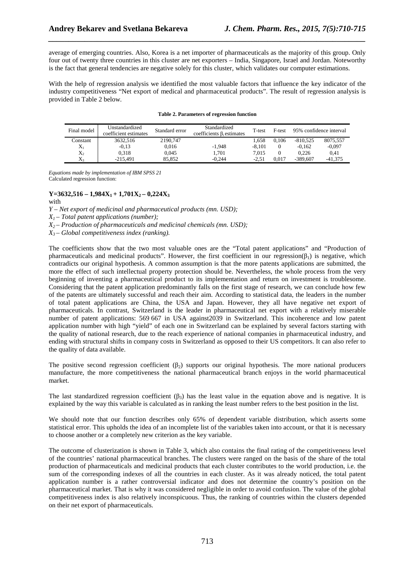average of emerging countries. Also, Korea is a net importer of pharmaceuticals as the majority of this group. Only four out of twenty three countries in this cluster are net exporters – India, Singapore, Israel and Jordan. Noteworthy is the fact that general tendencies are negative solely for this cluster, which validates our computer estimations.

*\_\_\_\_\_\_\_\_\_\_\_\_\_\_\_\_\_\_\_\_\_\_\_\_\_\_\_\_\_\_\_\_\_\_\_\_\_\_\_\_\_\_\_\_\_\_\_\_\_\_\_\_\_\_\_\_\_\_\_\_\_\_\_\_\_\_\_\_\_\_\_\_\_\_\_\_\_\_*

With the help of regression analysis we identified the most valuable factors that influence the key indicator of the industry competitiveness "Net export of medical and pharmaceutical products". The result of regression analysis is provided in Table 2 below.

| Final model | Unstandardized<br>coefficient estimates | Standard error | Standardized<br>coefficients $\beta_i$ estimates | T-test   | F-test   |            | 95% confidence interval |
|-------------|-----------------------------------------|----------------|--------------------------------------------------|----------|----------|------------|-------------------------|
| Constant    | 3632.516                                | 2190.747       |                                                  | 1.658    | 0.106    | $-810.525$ | 8075,557                |
| $X_1$       | $-0.13$                                 | 0.016          | $-1.948$                                         | $-8.101$ | $\Omega$ | $-0.162$   | $-0.097$                |
| $X_2$       | 0.318                                   | 0.045          | 1.701                                            | 7.015    |          | 0.226      | 0.41                    |
| $X_3$       | $-215.491$                              | 85.852         | $-0.244$                                         | $-2.51$  | 0.017    | $-389.607$ | $-41.375$               |

#### **Table 2. Parameters of regression function**

*Equations made by implementation of IBM SPSS 21* Calculated regression function:

 $Y=3632,516 - 1,984X_1 + 1,701X_2 - 0,224X_3$ 

with

*Y – Net export of medicinal and pharmaceutical products (mn. USD);* 

 $X_1$ – Total patent applications (number);

*X2 – Production of pharmaceuticals and medicinal chemicals (mn. USD);* 

*X3 – Global competitiveness index (ranking).* 

The coefficients show that the two most valuable ones are the "Total patent applications" and "Production of pharmaceuticals and medicinal products". However, the first coefficient in our regression( $\beta_1$ ) is negative, which contradicts our original hypothesis. A common assumption is that the more patents applications are submitted, the more the effect of such intellectual property protection should be. Nevertheless, the whole process from the very beginning of inventing a pharmaceutical product to its implementation and return on investment is troublesome. Considering that the patent application predominantly falls on the first stage of research, we can conclude how few of the patents are ultimately successful and reach their aim. According to statistical data, the leaders in the number of total patent applications are China, the USA and Japan. However, they all have negative net export of pharmaceuticals. In contrast, Switzerland is the leader in pharmaceutical net export with a relatively miserable number of patent applications: 569 667 in USA against2039 in Switzerland. This incoherence and low patent application number with high "yield" of each one in Switzerland can be explained by several factors starting with the quality of national research, due to the reach experience of national companies in pharmaceutical industry, and ending with structural shifts in company costs in Switzerland as opposed to their US competitors. It can also refer to the quality of data available.

The positive second regression coefficient  $(\beta_2)$  supports our original hypothesis. The more national producers manufacture, the more competitiveness the national pharmaceutical branch enjoys in the world pharmaceutical market.

The last standardized regression coefficient  $(\beta_3)$  has the least value in the equation above and is negative. It is explained by the way this variable is calculated as in ranking the least number refers to the best position in the list.

We should note that our function describes only 65% of dependent variable distribution, which asserts some statistical error. This upholds the idea of an incomplete list of the variables taken into account, or that it is necessary to choose another or a completely new criterion as the key variable.

The outcome of clusterization is shown in Table 3, which also contains the final rating of the competitiveness level of the countries' national pharmaceutical branches. The clusters were ranged on the basis of the share of the total production of pharmaceuticals and medicinal products that each cluster contributes to the world production, i.e. the sum of the corresponding indexes of all the countries in each cluster. As it was already noticed, the total patent application number is a rather controversial indicator and does not determine the country's position on the pharmaceutical market. That is why it was considered negligible in order to avoid confusion. The value of the global competitiveness index is also relatively inconspicuous. Thus, the ranking of countries within the clusters depended on their net export of pharmaceuticals.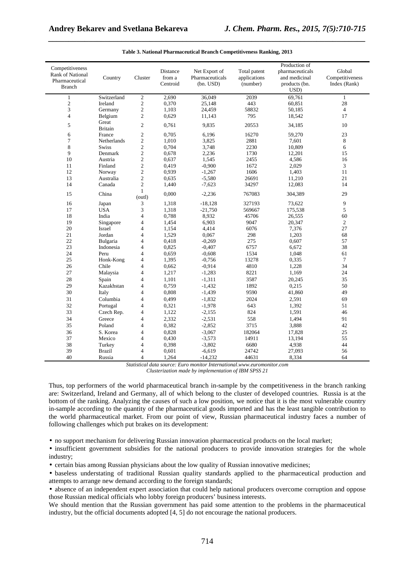| Competitiveness<br>Rank of National<br>Pharmaceutical<br><b>Branch</b> | Country                 | Cluster                          | Distance<br>from a<br>Centroid | Net Export of<br>Pharmaceuticals<br>(bn. USD) | Total patent<br>applications<br>(number) | Production of<br>pharmaceuticals<br>and medicinal<br>products (bn.<br>USD) | Global<br>Competitiveness<br>Index (Rank) |
|------------------------------------------------------------------------|-------------------------|----------------------------------|--------------------------------|-----------------------------------------------|------------------------------------------|----------------------------------------------------------------------------|-------------------------------------------|
|                                                                        | Switzerland             |                                  | 2,690                          | 36,049                                        | 2039                                     | 69,761                                                                     |                                           |
| $\mathbf{1}$<br>$\sqrt{2}$                                             | Ireland                 | $\sqrt{2}$<br>$\sqrt{2}$         | 0,370                          | 25,148                                        | 443                                      | 60,851                                                                     | $\mathbf{1}$<br>28                        |
| 3                                                                      |                         |                                  |                                | 24,459                                        | 58832                                    | 50,185                                                                     | $\overline{4}$                            |
|                                                                        | Germany                 | $\mathfrak{2}$<br>$\mathfrak{2}$ | 1,103                          |                                               |                                          |                                                                            | 17                                        |
| $\overline{4}$                                                         | Belgium                 |                                  | 0,629                          | 11,143                                        | 795                                      | 18,542                                                                     |                                           |
| 5                                                                      | Great<br><b>Britain</b> | $\mathfrak{2}$                   | 0,761                          | 9,835                                         | 20553                                    | 34,185                                                                     | 10                                        |
| 6                                                                      | France                  | $\sqrt{2}$                       | 0,705                          | 6,196                                         | 16270                                    | 59,270                                                                     | 23                                        |
| $\overline{7}$                                                         | Netherlands             | $\sqrt{2}$                       | 1,010                          | 3,825                                         | 2881                                     | 7,601                                                                      | 8                                         |
| 8                                                                      | <b>Swiss</b>            | $\sqrt{2}$                       | 0,704                          | 3,748                                         | 2230                                     | 10,809                                                                     | 6                                         |
| 9                                                                      | Denmark                 | $\sqrt{2}$                       | 0,678                          | 2,236                                         | 1730                                     | 12,201                                                                     | 15                                        |
| 10                                                                     | Austria                 | $\sqrt{2}$                       | 0,637                          | 1,545                                         | 2455                                     | 4,586                                                                      | 16                                        |
| 11                                                                     | Finland                 | $\sqrt{2}$                       | 0,419                          | $-0,900$                                      | 1672                                     | 2,029                                                                      | 3                                         |
| 12                                                                     | Norway                  | $\overline{c}$                   | 0,939                          | $-1,267$                                      | 1606                                     | 1,403                                                                      | 11                                        |
| 13                                                                     | Australia               | $\mathfrak{2}$                   | 0,635                          | $-5,580$                                      | 26691                                    | 11,210                                                                     | 21                                        |
| 14                                                                     | Canada                  | $\overline{c}$                   | 1,440                          | $-7,623$                                      | 34297                                    | 12,083                                                                     | 14                                        |
| 15                                                                     | China                   | $\mathbf{1}$<br>(outl)           | 0,000                          | $-2,236$                                      | 767083                                   | 304,389                                                                    | 29                                        |
| 16                                                                     | Japan                   | 3                                | 1,318                          | $-18,128$                                     | 327193                                   | 73,622                                                                     | 9                                         |
| 17                                                                     | <b>USA</b>              | 3                                | 1,318                          | $-21,750$                                     | 569667                                   | 175,538                                                                    | 5                                         |
| 18                                                                     | India                   | $\overline{\mathcal{L}}$         | 0,788                          | 8,932                                         | 45706                                    | 26,555                                                                     | 60                                        |
| 19                                                                     | Singapore               | 4                                | 1,454                          | 6,903                                         | 9047                                     | 20,347                                                                     | $\mathfrak{2}$                            |
| 20                                                                     | Israel                  | 4                                | 1,154                          | 4,414                                         | 6076                                     | 7,376                                                                      | 27                                        |
| 21                                                                     | Jordan                  | 4                                | 1,529                          | 0,067                                         | 298                                      | 1,203                                                                      | 68                                        |
| $22\,$                                                                 | Bulgaria                | 4                                | 0,418                          | $-0,269$                                      | 275                                      | 0,607                                                                      | 57                                        |
| 23                                                                     | Indonesia               | 4                                | 0,825                          | $-0,407$                                      | 6757                                     | 6,672                                                                      | 38                                        |
| 24                                                                     | Peru                    | $\overline{4}$                   | 0,659                          | $-0,608$                                      | 1534                                     | 1,048                                                                      | 61                                        |
| 25                                                                     | Honk-Kong               | $\overline{4}$                   | 1,395                          | $-0,756$                                      | 13278                                    | 0,335                                                                      | $\tau$                                    |
| 26                                                                     | Chile                   | 4                                | 0,662                          | $-0,914$                                      | 4810                                     | 1,228                                                                      | 34                                        |
| 27                                                                     | Malaysia                | $\overline{\mathcal{L}}$         | 1,217                          | $-1,283$                                      | 8221                                     | 1,169                                                                      | 24                                        |
| 28                                                                     | Spain                   | $\overline{\mathcal{L}}$         | 1,101                          | $-1,311$                                      | 3587                                     | 20,245                                                                     | 35                                        |
| 29                                                                     | Kazakhstan              | $\overline{4}$                   | 0,759                          | $-1,432$                                      | 1892                                     | 0,215                                                                      | 50                                        |
| 30                                                                     | Italy                   | $\overline{\mathcal{L}}$         | 0,808                          | $-1,439$                                      | 9590                                     | 41,860                                                                     | 49                                        |
| 31                                                                     | Columbia                | 4                                | 0,499                          | $-1,832$                                      | 2024                                     | 2,591                                                                      | 69                                        |
| 32                                                                     | Portugal                | $\overline{4}$                   | 0,321                          | $-1,978$                                      | 643                                      | 1,392                                                                      | 51                                        |
| 33                                                                     | Czech Rep.              | 4                                | 1,122                          | $-2,155$                                      | 824                                      | 1,591                                                                      | 46                                        |
|                                                                        |                         |                                  |                                |                                               |                                          |                                                                            |                                           |
| 34                                                                     | Greece                  | 4                                | 2,332                          | $-2,531$                                      | 558                                      | 1,494                                                                      | 91                                        |
| 35                                                                     | Poland                  | $\overline{4}$                   | 0,382                          | $-2,852$                                      | 3715                                     | 3,888                                                                      | 42                                        |
| 36                                                                     | S. Korea                | $\overline{\mathcal{L}}$         | 0,828                          | $-3,067$                                      | 182064                                   | 17,828                                                                     | 25                                        |
| 37                                                                     | Mexico                  | 4                                | 0,430                          | $-3,573$                                      | 14911                                    | 13,194                                                                     | 55                                        |
| 38                                                                     | Turkey                  | 4                                | 0,398                          | $-3,802$                                      | 6680                                     | 4,938                                                                      | 44                                        |
| 39                                                                     | <b>Brazil</b>           | 4                                | 0,601                          | $-6,619$                                      | 24742                                    | 27,093                                                                     | 56                                        |
| 40                                                                     | Russia                  | $\overline{4}$                   | 1,264                          | $-14,232$                                     | 44631                                    | 8,334                                                                      | 64                                        |

| Table 3. National Pharmaceutical Branch Competitiveness Ranking, 2013 |
|-----------------------------------------------------------------------|
|-----------------------------------------------------------------------|

*\_\_\_\_\_\_\_\_\_\_\_\_\_\_\_\_\_\_\_\_\_\_\_\_\_\_\_\_\_\_\_\_\_\_\_\_\_\_\_\_\_\_\_\_\_\_\_\_\_\_\_\_\_\_\_\_\_\_\_\_\_\_\_\_\_\_\_\_\_\_\_\_\_\_\_\_\_\_*

*Statistical data source: Euro monitor International*.*www.euromonitor.com Clusterization made by implementation of IBM SPSS 21* 

Thus, top performers of the world pharmaceutical branch in-sample by the competitiveness in the branch ranking are: Switzerland, Ireland and Germany, all of which belong to the cluster of developed countries. Russia is at the bottom of the ranking. Analyzing the causes of such a low position, we notice that it is the most vulnerable country in-sample according to the quantity of the pharmaceutical goods imported and has the least tangible contribution to the world pharmaceutical market. From our point of view, Russian pharmaceutical industry faces a number of following challenges which put brakes on its development:

• no support mechanism for delivering Russian innovation pharmaceutical products on the local market;

• insufficient government subsidies for the national producers to provide innovation strategies for the whole industry;

• certain bias among Russian physicians about the low quality of Russian innovative medicines;

• baseless understating of traditional Russian quality standards applied to the pharmaceutical production and attempts to arrange new demand according to the foreign standards;

• absence of an independent expert association that could help national producers overcome corruption and oppose those Russian medical officials who lobby foreign producers' business interests.

We should mention that the Russian government has paid some attention to the problems in the pharmaceutical industry, but the official documents adopted [4, 5] do not encourage the national producers.